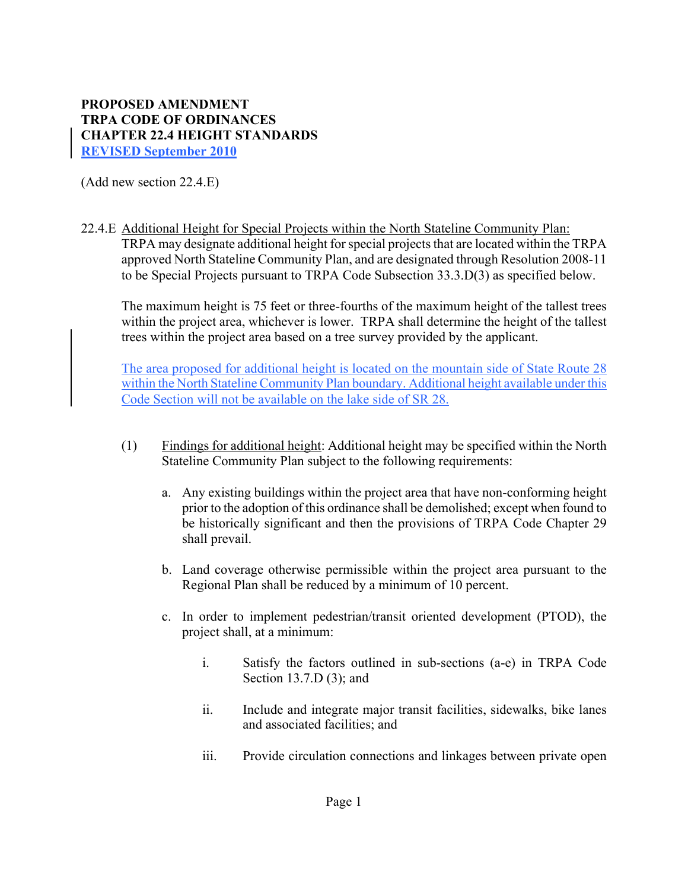## **PROPOSED AMENDMENT TRPA CODE OF ORDINANCES CHAPTER 22.4 HEIGHT STANDARDS REVISED September 2010**

(Add new section 22.4.E)

22.4.E Additional Height for Special Projects within the North Stateline Community Plan: TRPA may designate additional height for special projects that are located within the TRPA approved North Stateline Community Plan, and are designated through Resolution 2008-11 to be Special Projects pursuant to TRPA Code Subsection 33.3.D(3) as specified below.

The maximum height is 75 feet or three-fourths of the maximum height of the tallest trees within the project area, whichever is lower. TRPA shall determine the height of the tallest trees within the project area based on a tree survey provided by the applicant.

The area proposed for additional height is located on the mountain side of State Route 28 within the North Stateline Community Plan boundary. Additional height available under this Code Section will not be available on the lake side of SR 28.

- (1) Findings for additional height: Additional height may be specified within the North Stateline Community Plan subject to the following requirements:
	- a. Any existing buildings within the project area that have non-conforming height prior to the adoption of this ordinance shall be demolished; except when found to be historically significant and then the provisions of TRPA Code Chapter 29 shall prevail.
	- b. Land coverage otherwise permissible within the project area pursuant to the Regional Plan shall be reduced by a minimum of 10 percent.
	- c. In order to implement pedestrian/transit oriented development (PTOD), the project shall, at a minimum:
		- i. Satisfy the factors outlined in sub-sections (a-e) in TRPA Code Section 13.7.D (3); and
		- ii. Include and integrate major transit facilities, sidewalks, bike lanes and associated facilities; and
		- iii. Provide circulation connections and linkages between private open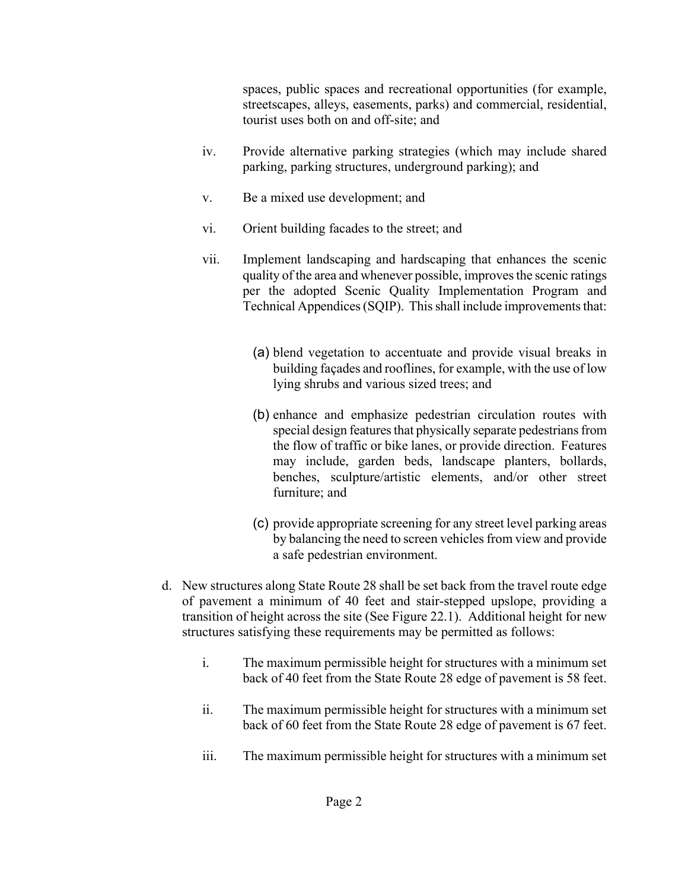spaces, public spaces and recreational opportunities (for example, streetscapes, alleys, easements, parks) and commercial, residential, tourist uses both on and off-site; and

- iv. Provide alternative parking strategies (which may include shared parking, parking structures, underground parking); and
- v. Be a mixed use development; and
- vi. Orient building facades to the street; and
- vii. Implement landscaping and hardscaping that enhances the scenic quality of the area and whenever possible, improves the scenic ratings per the adopted Scenic Quality Implementation Program and Technical Appendices (SQIP). This shall include improvements that:
	- (a) blend vegetation to accentuate and provide visual breaks in building façades and rooflines, for example, with the use of low lying shrubs and various sized trees; and
	- (b) enhance and emphasize pedestrian circulation routes with special design features that physically separate pedestrians from the flow of traffic or bike lanes, or provide direction. Features may include, garden beds, landscape planters, bollards, benches, sculpture/artistic elements, and/or other street furniture; and
	- (c) provide appropriate screening for any street level parking areas by balancing the need to screen vehicles from view and provide a safe pedestrian environment.
- d. New structures along State Route 28 shall be set back from the travel route edge of pavement a minimum of 40 feet and stair-stepped upslope, providing a transition of height across the site (See Figure 22.1). Additional height for new structures satisfying these requirements may be permitted as follows:
	- i. The maximum permissible height for structures with a minimum set back of 40 feet from the State Route 28 edge of pavement is 58 feet.
	- ii. The maximum permissible height for structures with a minimum set back of 60 feet from the State Route 28 edge of pavement is 67 feet.
	- iii. The maximum permissible height for structures with a minimum set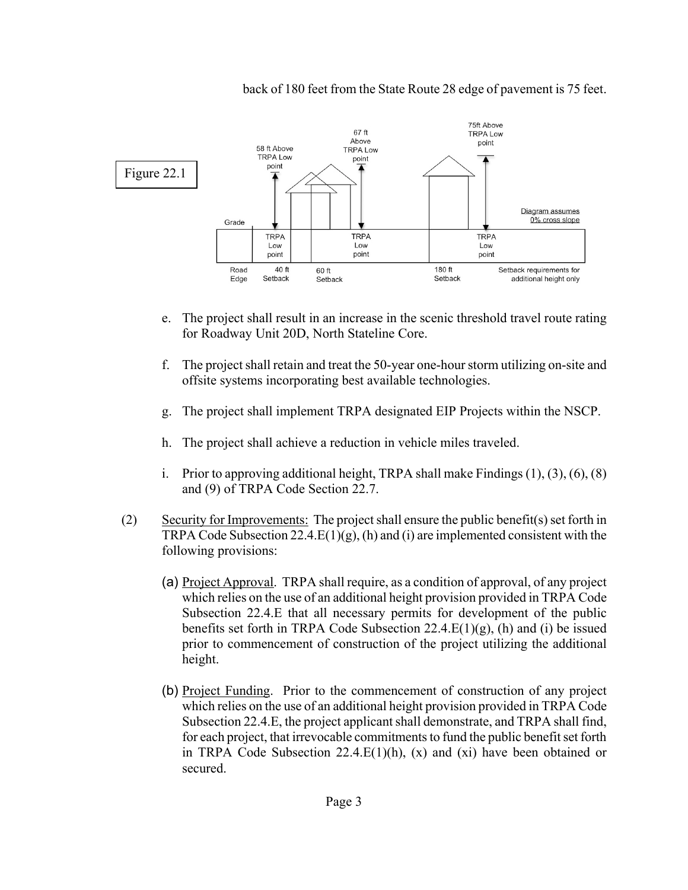

back of 180 feet from the State Route 28 edge of pavement is 75 feet.

- e. The project shall result in an increase in the scenic threshold travel route rating for Roadway Unit 20D, North Stateline Core.
- f. The project shall retain and treat the 50-year one-hour storm utilizing on-site and offsite systems incorporating best available technologies.
- g. The project shall implement TRPA designated EIP Projects within the NSCP.
- h. The project shall achieve a reduction in vehicle miles traveled.
- i. Prior to approving additional height, TRPA shall make Findings  $(1)$ ,  $(3)$ ,  $(6)$ ,  $(8)$ and (9) of TRPA Code Section 22.7.
- (2) Security for Improvements: The project shall ensure the public benefit(s) set forth in TRPA Code Subsection  $22.4.E(1)(g)$ , (h) and (i) are implemented consistent with the following provisions:
	- (a) Project Approval. TRPA shall require, as a condition of approval, of any project which relies on the use of an additional height provision provided in TRPA Code Subsection 22.4.E that all necessary permits for development of the public benefits set forth in TRPA Code Subsection  $22.4.E(1)(g)$ , (h) and (i) be issued prior to commencement of construction of the project utilizing the additional height.
	- (b) Project Funding. Prior to the commencement of construction of any project which relies on the use of an additional height provision provided in TRPA Code Subsection 22.4.E, the project applicant shall demonstrate, and TRPA shall find, for each project, that irrevocable commitments to fund the public benefit set forth in TRPA Code Subsection  $22.4.E(1)(h)$ , (x) and (xi) have been obtained or secured.